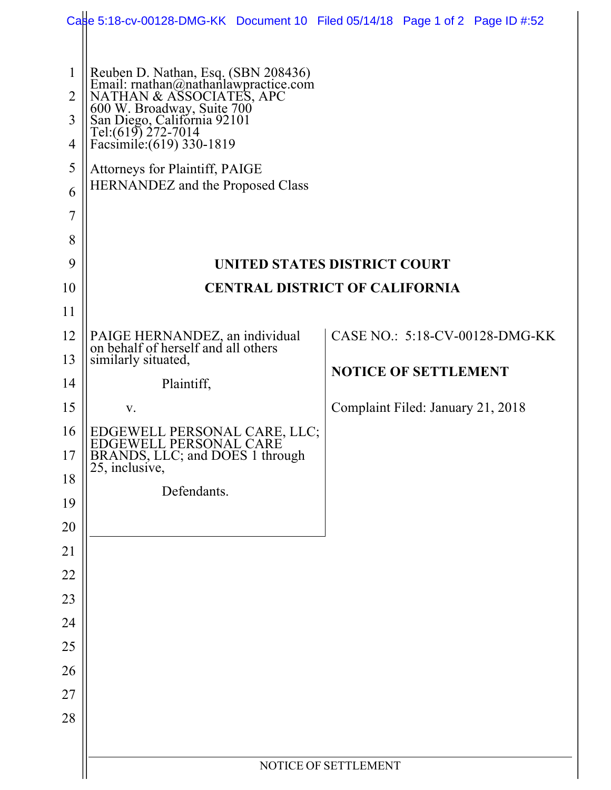|                                                                                | Castle 5:18-cv-00128-DMG-KK Document 10 Filed 05/14/18 Page 1 of 2 Page ID #:52                                                                                                                                                                                                                                                      |                                   |  |                                |  |
|--------------------------------------------------------------------------------|--------------------------------------------------------------------------------------------------------------------------------------------------------------------------------------------------------------------------------------------------------------------------------------------------------------------------------------|-----------------------------------|--|--------------------------------|--|
| $\mathbf{1}$<br>$\overline{2}$<br>3<br>4<br>5<br>6<br>$\overline{7}$<br>8<br>9 | Reuben D. Nathan, Esq. (SBN 208436)<br>Email: rnathan@nathanlawpractice.com<br>NATHAN & ASSOCIATES, APC<br>600 W. Broadway, Suite 700<br>San Diego, California 92101<br>Tel:(619) 272-7014<br>Facsimile: (619) 330-1819<br>Attorneys for Plaintiff, PAIGE<br><b>HERNANDEZ</b> and the Proposed Class<br>UNITED STATES DISTRICT COURT |                                   |  |                                |  |
| 10                                                                             | <b>CENTRAL DISTRICT OF CALIFORNIA</b>                                                                                                                                                                                                                                                                                                |                                   |  |                                |  |
| 11                                                                             |                                                                                                                                                                                                                                                                                                                                      |                                   |  |                                |  |
| 12                                                                             | PAIGE HERNANDEZ, an individual<br>on behalf of herself and all others                                                                                                                                                                                                                                                                |                                   |  | CASE NO.: 5:18-CV-00128-DMG-KK |  |
| 13                                                                             | similarly situated,                                                                                                                                                                                                                                                                                                                  | <b>NOTICE OF SETTLEMENT</b>       |  |                                |  |
| 14                                                                             | Plaintiff,                                                                                                                                                                                                                                                                                                                           |                                   |  |                                |  |
| 15                                                                             | V.                                                                                                                                                                                                                                                                                                                                   | Complaint Filed: January 21, 2018 |  |                                |  |
| 16                                                                             | EDGEWELL PERSONAL CARE, LLC;<br>EDGEWELL PERSONAL CARE                                                                                                                                                                                                                                                                               |                                   |  |                                |  |
| 17                                                                             | BRANDS, LLC; and DOES 1 through<br>25, inclusive,                                                                                                                                                                                                                                                                                    |                                   |  |                                |  |
| 18                                                                             | Defendants.                                                                                                                                                                                                                                                                                                                          |                                   |  |                                |  |
| 19<br>20                                                                       |                                                                                                                                                                                                                                                                                                                                      |                                   |  |                                |  |
| 21                                                                             |                                                                                                                                                                                                                                                                                                                                      |                                   |  |                                |  |
| 22                                                                             |                                                                                                                                                                                                                                                                                                                                      |                                   |  |                                |  |
| 23                                                                             |                                                                                                                                                                                                                                                                                                                                      |                                   |  |                                |  |
| 24                                                                             |                                                                                                                                                                                                                                                                                                                                      |                                   |  |                                |  |
| 25                                                                             |                                                                                                                                                                                                                                                                                                                                      |                                   |  |                                |  |
| 26                                                                             |                                                                                                                                                                                                                                                                                                                                      |                                   |  |                                |  |
| 27                                                                             |                                                                                                                                                                                                                                                                                                                                      |                                   |  |                                |  |
| 28                                                                             |                                                                                                                                                                                                                                                                                                                                      |                                   |  |                                |  |
|                                                                                |                                                                                                                                                                                                                                                                                                                                      |                                   |  |                                |  |
|                                                                                | NOTICE OF SETTLEMENT                                                                                                                                                                                                                                                                                                                 |                                   |  |                                |  |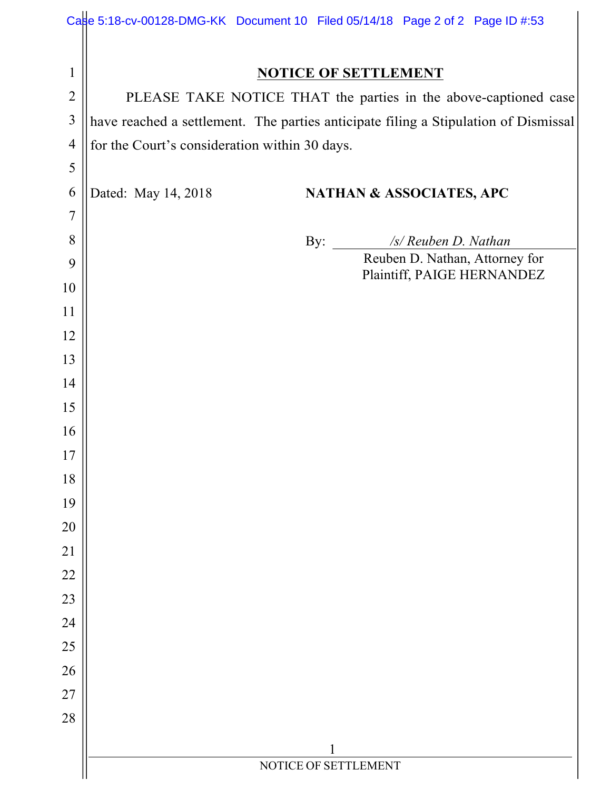|                | Case 5:18-cv-00128-DMG-KK Document 10 Filed 05/14/18 Page 2 of 2 Page ID #:53       |  |  |  |  |  |
|----------------|-------------------------------------------------------------------------------------|--|--|--|--|--|
|                |                                                                                     |  |  |  |  |  |
| $\mathbf{1}$   | <b>NOTICE OF SETTLEMENT</b>                                                         |  |  |  |  |  |
| $\overline{2}$ | PLEASE TAKE NOTICE THAT the parties in the above-captioned case                     |  |  |  |  |  |
| $\overline{3}$ | have reached a settlement. The parties anticipate filing a Stipulation of Dismissal |  |  |  |  |  |
| $\overline{4}$ | for the Court's consideration within 30 days.                                       |  |  |  |  |  |
| 5              |                                                                                     |  |  |  |  |  |
| 6              | Dated: May 14, 2018<br><b>NATHAN &amp; ASSOCIATES, APC</b>                          |  |  |  |  |  |
| $\overline{7}$ |                                                                                     |  |  |  |  |  |
| 8              | /s/ Reuben D. Nathan<br>By: $\frac{\ }{\ }$                                         |  |  |  |  |  |
| 9              | Reuben D. Nathan, Attorney for<br>Plaintiff, PAIGE HERNANDEZ                        |  |  |  |  |  |
| 10             |                                                                                     |  |  |  |  |  |
| 11             |                                                                                     |  |  |  |  |  |
| 12             |                                                                                     |  |  |  |  |  |
| 13             |                                                                                     |  |  |  |  |  |
| 14             |                                                                                     |  |  |  |  |  |
| 15             |                                                                                     |  |  |  |  |  |
| 16             |                                                                                     |  |  |  |  |  |
| 17             |                                                                                     |  |  |  |  |  |
| 18             |                                                                                     |  |  |  |  |  |
| 19             |                                                                                     |  |  |  |  |  |
| 20             |                                                                                     |  |  |  |  |  |
| 21             |                                                                                     |  |  |  |  |  |
| 22             |                                                                                     |  |  |  |  |  |
| 23             |                                                                                     |  |  |  |  |  |
| 24             |                                                                                     |  |  |  |  |  |
| 25             |                                                                                     |  |  |  |  |  |
| 26             |                                                                                     |  |  |  |  |  |
| 27             |                                                                                     |  |  |  |  |  |
| 28             |                                                                                     |  |  |  |  |  |
|                | 1                                                                                   |  |  |  |  |  |
|                | NOTICE OF SETTLEMENT                                                                |  |  |  |  |  |